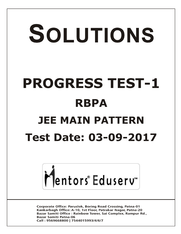# SOLUTIONS **PROGRESS TEST-1 RBPA JEE MAIN PATTERN Test Date: 03-09-2017**



**Corporate Office: Paruslok, Boring Road Crossing, Patna-01** Kankarbagh Office: A-10, 1st Floor, Patrakar Nagar, Patna-20 Bazar Samiti Office: Rainbow Tower, Sai Complex, Rampur Rd., **Bazar Samiti Patna-06** Call: 9569668800 | 7544015993/4/6/7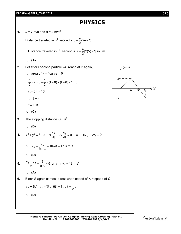## **PHYSICS**

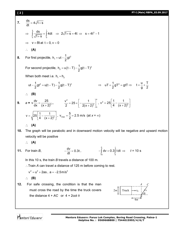#### **[ 2 ] PT-I (Main) RBPA\_03.09.2017**

**7.**  $\frac{ds}{dt} = 4\sqrt{1+s}$ dt  $=4\sqrt{1}+s$  $\Rightarrow$ s t <sub>0</sub> vı⊤ o <sub>0</sub>  $\frac{ds}{dt} = \int 4dt$  $1 + s$  $=$  $\int_{0}^{1} \frac{ds}{\sqrt{1+s}} = \int_{0}^{1} 4dt \implies 2\sqrt{1+s} = 4t \implies s = 4t^2 - 1$  $\Rightarrow v = 8t$  at  $t = 0$ ,  $v = 0$  **(A) 8.** For first projectile,  $h_1 = ut - \frac{1}{2}gt^2$  $h_1 = ut - \frac{1}{6}gt$ 2  $=$  ut  $-$  -For second projectile,  $h_2 = u(t-T) - \frac{1}{2}g(t-T)^2$  $h_2 = u(t-T) - \frac{1}{2}g(t-T)$ 2  $= u(t-T) - \frac{1}{2}g(t-T)$ When both meet i.e.  $h_1 = h_2$ ut  $-\frac{1}{2}gt^2 = u(t-T) - \frac{1}{2}g(t-T)^2$  $2^{3}$   $(1)$   $2$  $-\frac{1}{2}gt^2 = u(t-T) - \frac{1}{2}g(t-T)^2$   $\implies$  $uT + \frac{1}{2}gT^2 = gtT$ 2  $+\frac{1}{2}gT^2 = gtT \implies t = \frac{u}{t} + \frac{T}{6}$ g 2  $= - + \frac{1}{2}$  **(B) 9.**  $a = \sqrt{\frac{dv}{dx}} = \frac{25}{(x+2)^3}$ dx  $(x+2)$  $=$  $\ddot{}$ **,** 2  $\begin{bmatrix} 1 & 1 \end{bmatrix}^{\mathsf{X}}$ 2 o  $\frac{v^2}{2}$  = 25  $\times$   $\frac{1}{2}$ 2  $2(x+2)$  $=25\times\left[-\frac{1}{2(x+2)^2}\right]_0^x, v^2$  $v^2 = 25 \frac{1}{4} - \frac{1}{(x+2)^2}$ 4  $(x+2)$  $=25\left[\frac{1}{4}-\frac{1}{(x+2)^2}\right]$  $v = \sqrt{25} \left( \frac{1}{4} - \frac{1}{(x+2)^2} \right)$ 4  $(x+2)$  $=\sqrt{25\left[\frac{1}{4}-\frac{1}{(x+2)^2}\right]}$ ,  $v_{\text{max}}=\frac{5}{2}=2.5 \text{ m/s}$ 2  $=\frac{6}{6}$  = 2.5 m/s (at *x* =  $\infty$ ) **(A) 10.** The graph will be parabolic and in downward motion velocity will be negative and upward motion velocity will be positive **(A) 11.** For train *B*,  $\frac{dv}{dt} = 0.3t$ dt  $-\frac{uv}{dt} = 0.3t$ , 0 t 15 0  $-$ **J** dv = 0.3**J** tdt  $\Rightarrow$  *t* = 10 s In this 10 s, the train *B* travels a distance of 100 m. Train *A* can travel a distance of 125 m before coming to rest.  $v^2 = u^2 + 2as$  ,  $a = -2.5 \text{m/s}^2$  **(B) 12.** For safe crossing, the condition is that the man must cross the road by the time the truck covers the distance  $4 + AC$  or  $4 + 2cot \theta$ *v*<sup>0</sup> *v B*  4*m*  $2m \left| \right|$  Truck  $\left| \right|$ *A C*  $\overline{\Theta}$ 

Mentors Eduserv<sup>®</sup>

**Mentors Eduserv: Parus Lok Complex, Boring Road Crossing, Patna-1 Helpline No. : 9569668800 | 7544015993/4/6/7**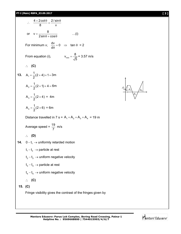**PT-I (Main) RBPA\_03.09.2017 [ 3 ]**



Fringe visibility gives the contrast of the fringes given by

*A*1

 $A_2$   $A_4$ *A*3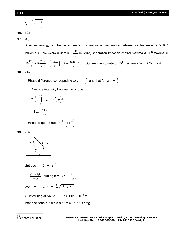$$
V = \frac{2\sqrt{I_1/I_2}}{1 + I_1/I_2}
$$

**16. (C)**

**17. (C)**

After immersing, no change in central maxima in air, separation between central maxima &  $10<sup>th</sup>$ maxima = 5cm -2cm = 3cm =  $10\frac{B}{d}$  $10 \frac{D\lambda}{I}$  in liquid, separation between central maxima & 10<sup>th</sup> maxima = d  $10\frac{D\lambda'}{d} = 10\frac{D}{d}\frac{\lambda}{\mu}$ λ d  $10\frac{\text{D}}{\text{d}}\frac{\lambda}{\mu} = \left(\frac{10\text{D}\lambda}{\text{d}}\right)/1.5$  $\frac{10D\lambda}{1}$ J  $\left(\frac{10D\lambda}{1}\right)$  $\backslash$  $=\left(\frac{10D\lambda}{d}\right)/1.5 = \frac{3cm}{1.5} = 2cm$  $\frac{3 \text{cm}}{1.5}$  = 2cm . So new co-ordinate of 10<sup>th</sup> maxima = 2cm + 2cm = 4cm

**18. (A)**

Phase difference correspnding to  $y_1 = \frac{y_1}{2}$  $\frac{-\pi}{2}$  and that for y<sub>2</sub> = +  $\frac{\pi}{2}$ π

 $\therefore$  Average intensity between  $y_1$  and  $y_2$ 

$$
= \frac{1}{\pi} \int_{-\pi/2}^{\pi/2} I_{\text{max}} \cos^2 \left(\frac{\phi}{2}\right) d\phi
$$

$$
= I_{\text{max}} \frac{(\pi + 2)}{2\pi}
$$

Hence required ratio =  $\frac{1}{2}$  $\frac{1}{2}$   $\left(1+\frac{2}{2}\right)$ J  $\left(1+\frac{2}{\pi}\right)$  $\backslash$ ſ  $1 + \frac{2}{\pi}$ 

**19. (C)**



2<sub>µt</sub> cos r = (2n + 1) 
$$
\frac{\lambda}{2}
$$

$$
t = \frac{(2n+1)\lambda}{4\mu \cos r} \text{ (putting } n = 0) = \frac{\lambda}{4\mu \cos r}
$$
  
\n
$$
\cos r = \sqrt{1-\sin^2 r} = \frac{1}{\mu} \sqrt{\mu^2 - \sin^2 \beta}
$$
  
\nSubstituting all value  $t = 1.01 \times 10^{-7} m$ 

mass of soap =  $\rho \times \ell \times h \times t = 6.06 \times 10^{-2}$  mg.

Mentors Eduserv<sup>®</sup>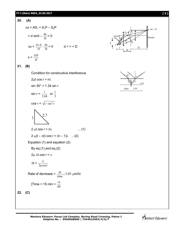## **PT-I (Main) RBPA\_03.09.2017 [ 5 ]**

## **20. (A)**  $\Delta x = AS_1 + S_1P - S_2P$  $= d \sin\theta - \frac{dx}{D} = 0$  $\Delta x = \frac{d \times d}{2f} - \frac{dA}{D}$ dx 2f  $\frac{d \times d}{d \times d} - \frac{d \times d}{d \times d} = 0 \qquad d \lt \lt \lt D$  $x = \frac{dE}{2f}$ dD





**21. (B)**

Condition for constructive interference

2μt cos r = nλ  
\nsin 30° = 1.34 sin r  
\nsin r = 
$$
\frac{1}{2.68}
$$
 or  $\frac{1}{3}$   
\ncos r =  $\sqrt{1-\sin^2 r}$   
\n1  
\n2.7  
\n2 μt cos r = nλ ... (1)  
\n2 μ(t - Δt) cos r = (n - 1)λ ... (2)  
\nEquation (1) and equation (2)  
\nBy eq.(1) and eq.(2)  
\n2μ At cos r = λ  
\n $\Delta t = \frac{\lambda}{2\mu \cos r}$   
\nRate of decrease =  $\frac{\Delta t}{\text{time}}$  = 1.01 μm/hr  
\n[Time = 15 min =  $\frac{15}{60}$   
\n22. (C)

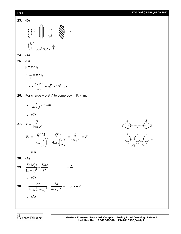

Mentors Eduserv<sup>®</sup>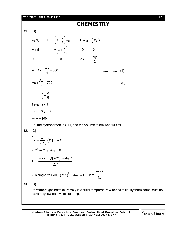## **PT-I (MAIN) RBPA\_03.09.2017** [ **7** ]

# **CHEMISTRY**

**31. (D)**

|     |                                             | $C_xH_y$ + $\left(x+\frac{y}{4}\right)O_2 \longrightarrow xCO_2 + \frac{y}{2}H_2O$ |                          |                |  |  |
|-----|---------------------------------------------|------------------------------------------------------------------------------------|--------------------------|----------------|--|--|
|     |                                             | A ml $A\left(x+\frac{y}{4}\right)$ ml                                              | $\overline{\phantom{0}}$ | $\overline{0}$ |  |  |
|     | $\overline{0}$                              | $\mathbf 0$                                                                        | Ax $\frac{Ay}{2}$        |                |  |  |
|     | $A + Ax + \frac{Ay}{4} = 600$               |                                                                                    |                          |                |  |  |
|     | $Ax + \frac{Ay}{2} = 700$                   |                                                                                    |                          |                |  |  |
|     | $\Rightarrow \frac{x}{v} = \frac{3}{8}$     |                                                                                    |                          |                |  |  |
|     | Since, $x < 5$                              |                                                                                    |                          |                |  |  |
|     | $\Rightarrow$ x = 3, y = 8                  |                                                                                    |                          |                |  |  |
|     | $\Rightarrow$ A = 100 ml                    |                                                                                    |                          |                |  |  |
|     |                                             | So, the hydrocarbon is $C_3H_8$ and the volume taken was 100 ml                    |                          |                |  |  |
| 32. | (C)                                         |                                                                                    |                          |                |  |  |
|     | $\left(P + \frac{a}{V^2}\right)(V) = RT$    |                                                                                    |                          |                |  |  |
|     | $PV^2 - RTV + a = 0$                        |                                                                                    |                          |                |  |  |
|     | $V = \frac{+RT \pm \sqrt{(RT)^2 - 4aP}}{2}$ |                                                                                    |                          |                |  |  |
|     |                                             | V is single valued, $(RT)^2 - 4aP = 0$ ; $P = \frac{R^2T^2}{4a}$                   |                          |                |  |  |

## **33. (B)**

Permanent gas have extremely law criticl temperature & hence to liquify them, temp must be extremely law below critical temp.

**Mentors Eduserv: Parus Lok Complex, Boring Road Crossing, Patna-1 Helpline No. : 9569668800 | 7544015993/4/6/7**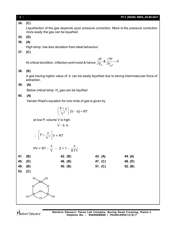| $[ 8 ]$ |                                                                                                                                      |            |         | PT-I (MAIN) RBPA_03.09.2017 |  |  |
|---------|--------------------------------------------------------------------------------------------------------------------------------------|------------|---------|-----------------------------|--|--|
| 34.     | (C)                                                                                                                                  |            |         |                             |  |  |
|         | Liquefaction of the gas depends upon pressure correction. More is the pressure correction<br>more easily the gas can be liquefied.   |            |         |                             |  |  |
| 35.     | (D)                                                                                                                                  |            |         |                             |  |  |
| 36.     | (A)                                                                                                                                  |            |         |                             |  |  |
|         | High temp. has less deviation fram ideal behaviour                                                                                   |            |         |                             |  |  |
| 37.     | (C)                                                                                                                                  |            |         |                             |  |  |
|         | At critical dondition, inflection point exist & hence $\frac{\partial P}{\partial V_m}$ & $\frac{\partial^2 P}{\partial V_{m2}} = 0$ |            |         |                             |  |  |
| 38.     | (B)                                                                                                                                  |            |         |                             |  |  |
|         | A gas having higher value of 'a' can be easily liquefied due to strong intermolecular force of<br>extraction.                        |            |         |                             |  |  |
| 39.     | (A)                                                                                                                                  |            |         |                             |  |  |
|         | Below critical temp. $H_2$ gas can be liquified                                                                                      |            |         |                             |  |  |
| 40.     | (A)                                                                                                                                  |            |         |                             |  |  |
|         | Vander Waal's equation for one mole of gas is given by                                                                               |            |         |                             |  |  |
|         | $\left(\frac{P+a}{V^2}\right)$ [V – b] = RT                                                                                          |            |         |                             |  |  |
|         | at low P, volume V is high                                                                                                           |            |         |                             |  |  |
|         | $V - b b$                                                                                                                            |            |         |                             |  |  |
|         | $\therefore$ $\left[ P + \frac{a}{V^2} \right] V = RT$                                                                               |            |         |                             |  |  |
|         | PV = RT – $\frac{a}{V}$ ; Z = 1 – $\frac{a}{RTV}$                                                                                    | <b>RTV</b> |         |                             |  |  |
| 41.     | (B)                                                                                                                                  | 42. (B)    | 43. (A) | 44. (A)                     |  |  |
| 45.     | (D)                                                                                                                                  | 46. (B)    | 47. (C) | 48. (D)                     |  |  |
| 49.     | (B)                                                                                                                                  | 50. (B)    | 51. (C) | 52. (B)                     |  |  |
| 53.     | (C)                                                                                                                                  |            |         |                             |  |  |
|         |                                                                                                                                      |            |         |                             |  |  |
|         | н                                                                                                                                    |            |         |                             |  |  |
|         |                                                                                                                                      |            |         |                             |  |  |
|         |                                                                                                                                      |            |         |                             |  |  |
|         |                                                                                                                                      |            |         |                             |  |  |
|         |                                                                                                                                      |            |         |                             |  |  |

Mentors<sup>e</sup> Eduserv<sup>-</sup>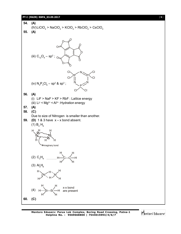#### **PT-I (MAIN) RBPA\_03.09.2017** [ **9** ]



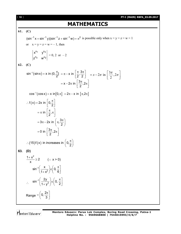## **MATHEMATICS**

## **61. (C)**

 $(\sin^{-1} x + \sin^{-1} y)(\sin^{-1} z + \sin^{-1} w) = \pi^2$  is possible only when  $x = y = z = w = 1$ or  $x = y = z = w = -1$ , then  $1 \sqrt{12}$ 3 w<sup>n</sup>2  $n_1$ ,  $n_2$  $n_3$   $\ldots$ n x''1 y'  $Z^{13}$  W  $= 0, 2 \text{ or } -2$ **62. (C)**  $\sin^{-1}(\sin x) = x \text{ in } (0, \frac{\pi}{2}]$ 2  $\pi^{-1}(\sin x) = x$  in  $(0, \frac{\pi}{2}] = \pi - x$  in  $\pi^{-1}(\frac{\pi}{2}, \frac{3\pi}{2})$  $2^{\degree}$  2  $x - 2\pi$  in  $\left[\frac{3\pi}{2}, 2\right]$ 2  $= \pi - x$  in  $\left[\frac{\pi}{2}, \frac{3\pi}{2}\right]$  =  $x - 2\pi$  in  $\left[\frac{3\pi}{2}, 2\right]$  $= x - 2\pi \text{ in } \left[\frac{3\pi}{2}, 2\pi\right]$ 2  $= x - 2\pi$  in  $\left[\frac{3\pi}{2}, 2\pi\right]$  $\cos^{-1}(\cos x) = x \text{ in } [0, \pi] = 2\pi - x \text{ in } [\pi, 2\pi]$  $f(x) = 2x$  in  $\left[0, \frac{\pi}{2}\right]$ in  $\frac{\pi}{6}$ , 2  $3\pi - 2x$  in  $\left(\pi, \frac{3}{2}\right)$ 2 0 in  $\frac{3\pi}{2}$ , 2 2  $\therefore f(x) = 2x$  in  $\left[0, \frac{\pi}{2}\right]$  $=\pi$  in  $\left[\frac{\pi}{2},\pi\right]$  $=3\pi-2x$  in  $\left(\pi,\frac{3\pi}{2}\right)$  $= 0$  in  $\left[\frac{3\pi}{2}, 2\pi\right]$  $(15)$ f $(x)$  in increases in  $\left(0,\frac{\pi}{2}\right)$  $\therefore$  (15)f(x) in increases in  $\left(0,\frac{\pi}{2}\right)$ **63. (D)**  $\frac{1+x^2}{2} \geq 2$ x  $\frac{+x^2}{x} \ge 2$  (: x > 0) 1 2  $\sin^{-1}\left(\frac{\mathsf{x}}{\sqrt{2}}\right) \in \left[0, \right]$  $1 + x^2$   $\int \int_0^x 6$  $\mathcal{L}$ <sup>1</sup> $\left(\frac{\mathbf{x}}{1+\mathbf{x}^2}\right) \in \left(0, \frac{\pi}{6}\right)$  $\therefore$  sin<sup>-1</sup>  $\left[\sin^{-1}\left(\frac{2y}{1+y^2}\right)\right]\in\left[0,1\right]$  $1 + y^2$   $\binom{7}{2}$  $^{-1}\left(\frac{2y}{1+y^2}\right) \in \left(0, \frac{\pi}{2}\right]$ Range  $0, \frac{2}{3}$ 3  $=\left(0,\frac{2\pi}{3}\right)$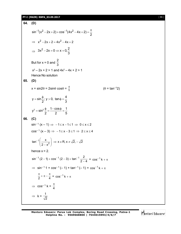## **PT-I (MAIN) RBPA\_03.09.2017** [ **11** ]

64. (D)  
\n
$$
\sin^{-1}(x^2 - 2x + 2) + \cos^{-1}(4x^2 - 4x + 2) = \frac{\pi}{2}
$$
\n
$$
\Rightarrow x^2 - 2x + 2 = 4x^2 - 4x + 2
$$
\n
$$
\Rightarrow 3x^2 - 2x = 0 \Rightarrow x = 0, \frac{2}{3}
$$
\nBut for  $x = 0$  and  $\frac{2}{3}$   
\n
$$
x^2 - 2x + 2 > 1
$$
 and  $4x^2 - 4x + 2 > 1$   
\nHence No solution  
\n65. (D)  
\n
$$
x = \sin 2\theta = 2 \sin \theta \cos \theta = \frac{4}{5}
$$
\n
$$
y = \sin \frac{\phi}{2}; y > 0, \tan \phi = \frac{4}{3}
$$
\n
$$
y^2 = \sin^2 \frac{\phi}{2} = \frac{1 - \cos \phi}{2} = \frac{1}{5}
$$
\n66. (C)  
\n
$$
\sin^{-1}(x - 1) \Rightarrow -1 \le x - 1 \le 1 \Rightarrow 0 \le x \le 2
$$
\n
$$
\cos^{-1}(x - 3) \Rightarrow -1 \le x - 3 \le 1 \Rightarrow 2 \le x \le 4
$$
\n
$$
\tan^{-1}\left(\frac{x}{2 - x^2}\right) \Rightarrow x \in \mathbb{R}, x \ne \sqrt{2}, -\sqrt{2}
$$
\nhence  $x = 2$ .  
\n
$$
\sin^{-1}(2 - 1) + \cos^{-1}(2 - 3) + \tan^{-1}\frac{2}{2 - 4} = \cos^{-1}k + \pi
$$
\n
$$
\Rightarrow \sin^{-1}1 + \cos^{-1}(-1) + \tan^{-1}(-1) = \cos^{-1}k + \pi
$$
\n
$$
\frac{\pi}{2} + \pi - \frac{\pi}{4} = \cos^{-1}k + \pi
$$
\n
$$
\Rightarrow \cos^{-1}k = \frac{\pi}{4}
$$
\n
$$
\Rightarrow k = \frac{1}{\sqrt{2}}
$$

Mentors<sup>e</sup> Eduserv<sup>-</sup>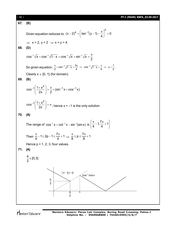

Mentors Eduserv

**Mentors Eduserv: Parus Lok Complex, Boring Road Crossing, Patna-1 Helpline No. : 9569668800 | 7544015993/4/6/7**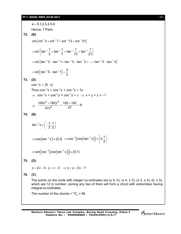$a = 0, 1, 2, 3, 4, 5, 6$ Hence, 7 Pairs. **72. (B)**  $\cot \{ \cot^{-1} 3 + \cot^{-1} 7 + \cot^{-1} 13 + \cot^{-1} 21 \}$ cot  $\left\{\tan^{-1}\frac{1}{2} + \tan^{-1}\frac{1}{2} + \tan^{-1}\frac{1}{10} + \tan^{-1}\frac{1}{20}\right\}$  $= \cot \left\{ \tan^{-1} \frac{1}{3} + \tan^{-1} \frac{1}{7} + \tan^{-1} \frac{1}{13} + \tan^{-1} \frac{1}{21} \right\}$ =  $\cot \{ \tan^{-1} 2 - \tan^{-1} 1 + \tan^{-1} 3 - \tan^{-1} 2 + ... + \tan^{-1} 5 - \tan^{-1} 4 \}$ cot  $\lceil \tan^{-1} 5 - \tan^{-1} 1 \rceil = \frac{3}{2}$ 2  $=$   $\cot \left[ \tan^{-1} 5 - \tan^{-1} 1 \right] = \frac{1}{2}$ **73. (D)**  $\cos^{-1} x \in [0, \pi]$ Thus  $\cos^{-1}x + \cos^{-1}y + \cos^{-1}z \leq 3\pi$  $\Rightarrow$  cos<sup>-1</sup>x = cos<sup>-1</sup>y = cos<sup>-1</sup>z =  $\pi \Rightarrow$  x = y = z = -1  $\Rightarrow$  $2 + 182y^2$  $\frac{100x^2 + 182y^2}{47x^2} = \frac{100 + 182}{47} = 6$  $47z^2$  47  $\frac{+182y^2}{2} = \frac{100+182}{17} = 0$ **74. (B)** tan $^{-1}$ x  $\in$   $\Big[-\frac{\pi}{2},\frac{\pi}{2}\Big]$  $2^{\degree}2$  $^{-1}$  x  $\in \left(-\frac{\pi}{2},\frac{\pi}{2}\right)$  $\Rightarrow$ cos $\left(\tan^{-1}x\right) \in (0,1] \quad \Rightarrow$ cos $^{-1}\left(\cos\left(\tan^{-1}x\right)\right) \in \rho,$ 2  $\Rightarrow$  cos<sup>-1</sup>(cos(tan<sup>-1</sup>x))  $\in$   $\left[0, \frac{\pi}{2}\right)$  $\Rightarrow$  sin $\left(\cos^{-1}\left(\cos\left(\tan^{-1} x\right)\right)\right) \in [0,1]$ **75. (D)**  $x = 2\pi - 4$ ;  $y = \pi - 3$   $\Rightarrow$   $x + y = 3\pi - 7$ **76. (C)** The points on the circle with integer co-ordinates are  $(\pm 5, 0)$ ,  $(\pm 4, \pm 3)$ ,  $(\pm 3, \pm 4)$ ,  $(0, \pm 5)$ , which are 12 in number. Joining any two of them will form a chord with extremities having integral co-ordinates. The number of the chords =  ${}^{12}C_{2}$  = 66.

Mentors<sup>®</sup> Eduserv<sup>®</sup>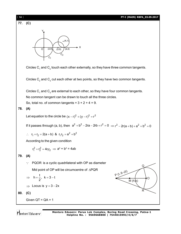| $[14]$ | PT-I (MAIN) RBPA_03.09.2017                                                                                                                                                                                             |  |  |  |  |  |
|--------|-------------------------------------------------------------------------------------------------------------------------------------------------------------------------------------------------------------------------|--|--|--|--|--|
| 77.    | (C)                                                                                                                                                                                                                     |  |  |  |  |  |
|        | Y,<br>(4,1)<br>$\blacktriangleright$ X<br>(2,0)<br>(4,0)<br>(3,0)<br>$\overline{o}$<br>$C_2$<br>$C_1$                                                                                                                   |  |  |  |  |  |
|        | Circles $C_1$ and $C_2$ touch each other externally, so they have three common tangents.                                                                                                                                |  |  |  |  |  |
|        | Circles $C_2$ and $C_3$ cut each other at two points, so they have two common tangents.                                                                                                                                 |  |  |  |  |  |
| 78.    | Circles $C_1$ and $C_3$ are external to each other, so they have four common tangents.<br>No common tangent can be drawn to touch all the three circles.<br>So, total no. of common tangents = $3 + 2 + 4 = 9$ .<br>(A) |  |  |  |  |  |
|        | Let equation to the circle be $(x - r)^2 + (y - r)^2 = r^2$                                                                                                                                                             |  |  |  |  |  |
|        | If it passes through (a, b), then $a^2 + b^2 - 2ra - 2rb + r^2 = 0 \Rightarrow r^2 - 2r(a + b) + a^2 + b^2 = 0$                                                                                                         |  |  |  |  |  |
|        | : $r_1 + r_2 = 2(a + b)$ & $r_1r_2 = a^2 + b^2$                                                                                                                                                                         |  |  |  |  |  |
|        | According to the given condition                                                                                                                                                                                        |  |  |  |  |  |
|        | $r_1^2 + r_2^2 = 4r_1r_2 \Rightarrow a^2 + b^2 = 4ab$                                                                                                                                                                   |  |  |  |  |  |
| 79.    | (A)                                                                                                                                                                                                                     |  |  |  |  |  |
|        | PQOR is a cyclic quadrilateral with OP as diameter<br>$\cdot$ :<br>Q                                                                                                                                                    |  |  |  |  |  |
|        | Mid point of OP will be circumcentre of $\triangle PQR$<br>$P(t, 6-2t)$                                                                                                                                                 |  |  |  |  |  |
|        | $h = \frac{t}{2}$ , $k = 3 - t$<br>$\circ$<br>M(h,k)                                                                                                                                                                    |  |  |  |  |  |
|        | Locus is $y = 3 - 2x$                                                                                                                                                                                                   |  |  |  |  |  |
| 80.    | R<br>(C)                                                                                                                                                                                                                |  |  |  |  |  |
|        | Given $QT = QA = 1$                                                                                                                                                                                                     |  |  |  |  |  |

Mentors<sup>e</sup> Eduserv<sup>-</sup>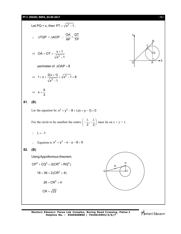## **PT-I (MAIN) RBPA\_03.09.2017** [ **15** ]

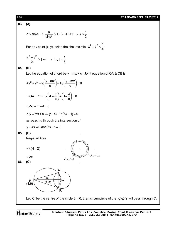#### [ **16** ] **PT-I (MAIN) RBPA\_03.09.2017**

## **83. (A)**

$$
a\leq \sin A \;\Rightarrow\; \frac{a}{\sin A} \leq 1 \;\Rightarrow\; 2R \leq 1 \;\Rightarrow\; R \leq \frac{1}{2}
$$

For any point (x, y) inside the circumcircle,  $x^2 + y^2 < \frac{1}{4}$ 4  $+y<sup>2</sup> < -$ 

 $\mathbb{R}^2$ 

$$
\frac{x^2+y^2}{2} \ge |xy| \Rightarrow |xy| < \frac{1}{8}
$$

## **84. (B)**

Let the equation of chord be  $y = mx + c$ ; Joint equation of OA & OB is

$$
4x2 + y2 - x\left(\frac{y - mx}{c}\right) + 4y\left(\frac{y - mx}{c}\right) = 0
$$
  
:: OA  $\perp$  OB  $\Rightarrow$   $\left(4 + \frac{m}{c}\right) + \left(1 + \frac{4}{c}\right) = 0$ 

$$
\Rightarrow 5c+m+4=0
$$

 $\therefore$  y = mx + c  $\Rightarrow$  y + 4x + c (5x - 1) = 0

 $\Rightarrow$  passing through the intersection of

 $x^2 + y^2 = 2$ 

$$
y + 4x = 0
$$
 and  $5x - 1 = 0$ 

**85. (B)**

Required Area

$$
=\pi(4-2)
$$

 $x^2 + y^2 = 4$ **86. (C)**



Let 'C' be the centre of the circle S = 0, then circumcircle of the  $\triangle PQR$  will pass through C.

 $x^2 + y^2 = 4$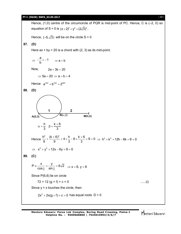## **PT-I (MAIN) RBPA\_03.09.2017** [ **17** ]

Hence, (1,0) centre of the circumcircle of PQR is mid-point of PC. Hence, C is (-2, 0) so equation of S = 0 is  $(x+2)^2 + y^2 = (2\sqrt{3})^2$ , Hence,  $(-5,\sqrt{3})$  will be on the circle S = 0 **87. (D)** Here  $ax + by = 20$  is a chord with  $(2, 3)$  as its mid-point.  $\Rightarrow$  $\frac{a}{1} = -1$  $-\frac{a}{b} = -1$   $\Rightarrow a = b$ Now,  $2a + 3b = 20$  $\Rightarrow$  5a = 20  $\Rightarrow$  a = b = 4 Hence  $a^{103} + b^{103} = 2^{207}$ **88. (D) 1 2**  $A(0,3)$  **B** $(\alpha,\beta)$  **M(h,k)** h  $k + 6$ 3 3  $\alpha = \frac{h}{2}$   $\beta = \frac{k+1}{2}$ Hence  $\frac{h^2}{0} + \frac{(k+6)^2}{0} + 4 \times \frac{h}{2} - 6 \times \frac{k+6}{2} + 9 = 0$ 9 9 3 3  $+\frac{(k+6)^2}{8}$  + 4  $\times\frac{h}{2}$  - 6  $\times\frac{k+6}{3}$  + 9 = 0  $\Rightarrow$  h<sup>2</sup> + k<sup>2</sup> + 12h - 6k + 9 = 0  $\implies$   $x^2 + y^2 + 12x - 6y + 9 = 0$ **89. (C)** 4 UHL 4  $P = \frac{x}{\sqrt{2}} = \frac{y}{\sqrt{2}} = 6\sqrt{2}$  $\equiv \frac{\lambda}{\cos \frac{\pi}{4}} = \frac{y}{\sin \frac{\pi}{4}} = 6\sqrt{2} \implies x = 6, y = 6$ Since P(6,6) lie on circle  $72 + 12 (g + f) + c = 0$  ......(i) Since  $y = x$  touches the circle, then  $2x^2 + 2x(g + f) + c = 0$  has equal roots  $D = 0$